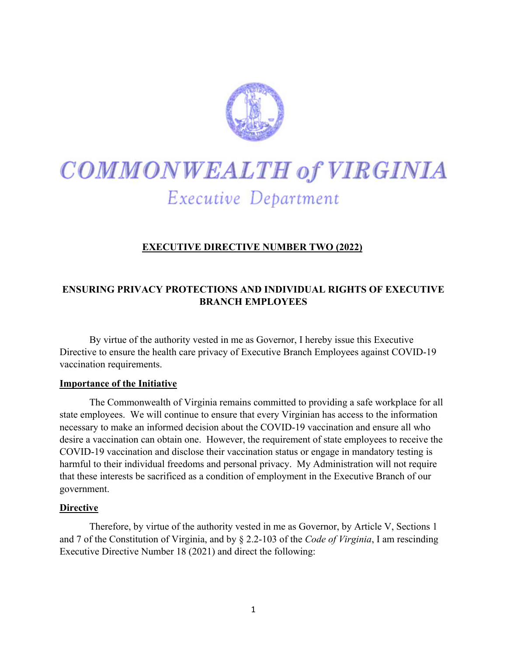

# COMMONWEALTH of VIRGINIA Executive Department

## **EXECUTIVE DIRECTIVE NUMBER TWO (2022)**

### **ENSURING PRIVACY PROTECTIONS AND INDIVIDUAL RIGHTS OF EXECUTIVE BRANCH EMPLOYEES**

By virtue of the authority vested in me as Governor, I hereby issue this Executive Directive to ensure the health care privacy of Executive Branch Employees against COVID-19 vaccination requirements.

#### **Importance of the Initiative**

The Commonwealth of Virginia remains committed to providing a safe workplace for all state employees. We will continue to ensure that every Virginian has access to the information necessary to make an informed decision about the COVID-19 vaccination and ensure all who desire a vaccination can obtain one. However, the requirement of state employees to receive the COVID-19 vaccination and disclose their vaccination status or engage in mandatory testing is harmful to their individual freedoms and personal privacy. My Administration will not require that these interests be sacrificed as a condition of employment in the Executive Branch of our government.

#### **Directive**

Therefore, by virtue of the authority vested in me as Governor, by Article V, Sections 1 and 7 of the Constitution of Virginia, and by § 2.2-103 of the *Code of Virginia*, I am rescinding Executive Directive Number 18 (2021) and direct the following: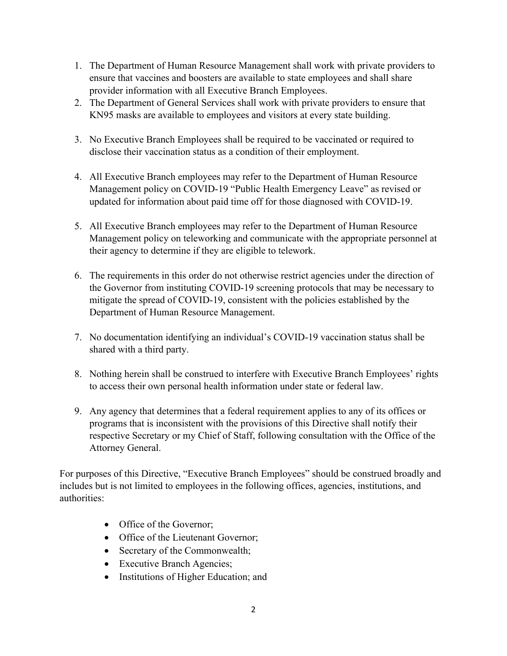- 1. The Department of Human Resource Management shall work with private providers to ensure that vaccines and boosters are available to state employees and shall share provider information with all Executive Branch Employees.
- 2. The Department of General Services shall work with private providers to ensure that KN95 masks are available to employees and visitors at every state building.
- 3. No Executive Branch Employees shall be required to be vaccinated or required to disclose their vaccination status as a condition of their employment.
- 4. All Executive Branch employees may refer to the Department of Human Resource Management policy on COVID-19 "Public Health Emergency Leave" as revised or updated for information about paid time off for those diagnosed with COVID-19.
- 5. All Executive Branch employees may refer to the Department of Human Resource Management policy on teleworking and communicate with the appropriate personnel at their agency to determine if they are eligible to telework.
- 6. The requirements in this order do not otherwise restrict agencies under the direction of the Governor from instituting COVID-19 screening protocols that may be necessary to mitigate the spread of COVID-19, consistent with the policies established by the Department of Human Resource Management.
- 7. No documentation identifying an individual's COVID-19 vaccination status shall be shared with a third party.
- 8. Nothing herein shall be construed to interfere with Executive Branch Employees' rights to access their own personal health information under state or federal law.
- 9. Any agency that determines that a federal requirement applies to any of its offices or programs that is inconsistent with the provisions of this Directive shall notify their respective Secretary or my Chief of Staff, following consultation with the Office of the Attorney General.

For purposes of this Directive, "Executive Branch Employees" should be construed broadly and includes but is not limited to employees in the following offices, agencies, institutions, and authorities:

- Office of the Governor;
- Office of the Lieutenant Governor;
- Secretary of the Commonwealth;
- Executive Branch Agencies;
- Institutions of Higher Education; and